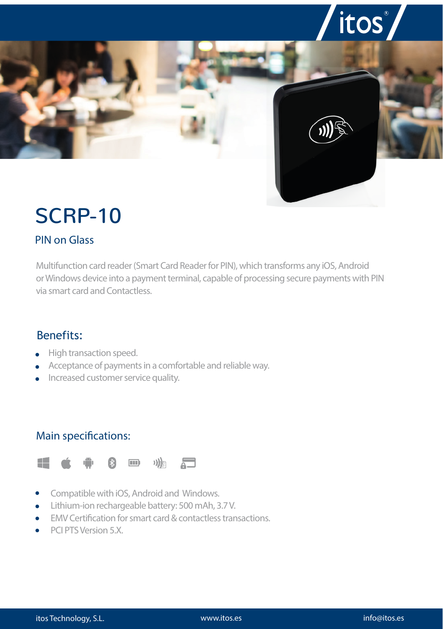

# SCRP-10

### PIN on Glass

Multifunction card reader (Smart Card Reader for PIN), which transforms any iOS, Android or Windows device into a payment terminal, capable of processing secure payments with PIN via smart card and Contactless.

#### Benefits:

- High transaction speed.
- Acceptance of payments in a comfortable and reliable way.
- Increased customer service quality.

#### Main specifications:



- Compatible with iOS, Android and Windows.  $\bullet$
- Lithium-ion rechargeable battery: 500 mAh, 3.7 V.
- EMV Certification for smart card & contactless transactions.
- PCI PTS Version 5.X.